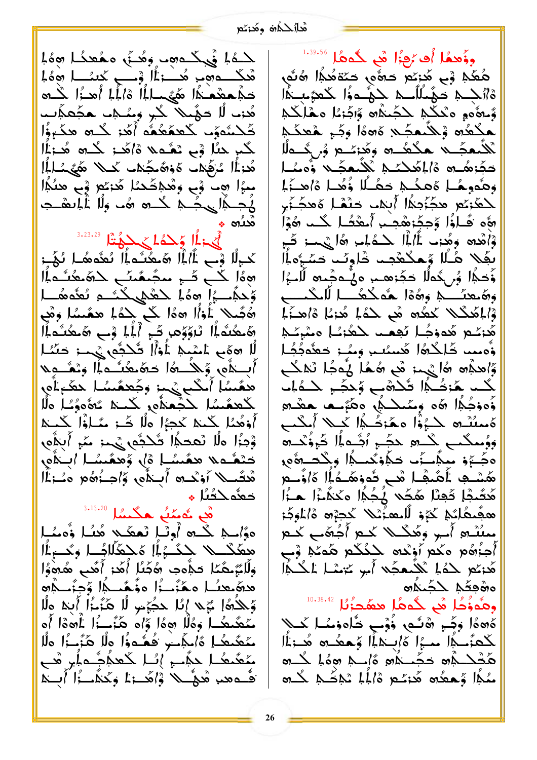لمؤم لمفعفه بنه ومصطرفه لمفك ثَعَكَـــوهُم، هُـــْمَةُ أَوْــَــي كَعنُـــا هِهُ!<br>حَجْمِعِتُمَــوَالِمُ هَيُــالِمُ أَهْلِيًا أُهــزُا كِـْـهِ هُٰذِب لَّا حَهَّمِلاً ۚ كُبْرٍ وِمُنْجِلٍ حَجَّهِجَاتِبٍ كَكْسُوَفٍ كَعْمَعُمُهُ أَمَّا كُلُّهِ مَكْرَوُا كُبِ حِبًّا وَجِ يَعْـمِيهِ وَأَهْــزٍ كُـــرَّةٍ هُــزِيًّا! هُدَلُّا مُرَضَّدَ هَ وَهُ حَكْمَا كَلَا هَيُّمَالُهِ! مِمْ! وِمَا فِي وَهُدِكَحِمًا هُـٰٓئِعِ فِي هِنُدًا! بَصْفَةَ أَوْ وَهُمْ مَكْرٍ مِنْ الْجَمِعْ ؞<br>هن*دُه* ٭ أَجْدَارُ وَحِكْمَ لَاهُكُمْ الْمَجْرَأَ كَجِلًا فِٓبِ غَلَٰا مُا مَحَّثُو اَلَّا نُعْوَهُما نُهَّبَ ھۇا ݣَـــ كَـــ مجْمعُتَـــ كھُم*كْــ*مَاْ وَّحكُ عَلَى الْمَعْمَلِ الْمَعْمَى الْمَعْدَمُ مِنْ الْمَحْدَمُ مِنْ الْمَحْدَمَةِ مِنْ الْمَحْدَمِ ِّهُجَىكا ۚ أُوۡٱ | مَاۤ كَبِّ كَـٰهٗ | مَعۡـُـنُـا وَمۡـحِ<br>مِّمۡـعُنُمۡاُ | نُاوِّوۡهِ کَـِ ۚ ٱٰٓ آُٰ آٰ وَٰٓ مَّـعُنُـمِاۡ ا النْمَعَ مَسْرَبُرِهِ مِنْهُمْ أَوْأَلَمْ فَكُلْمَ بِمِنْهُمْ يَهْدِيَا مِنْهَمْ لَلْمَجْمَعَةَ مِنْ أبندْس وَلِمُسَاهَ الْمَحْمَدُ وَأَسْدِهِ مِنْ مَسْدِيهِ هِمُسْمَا أَمِنْكُمْ يَهْدِ وَجُعِمُسَا حَقَّ الْمُسْمَّد لْكَعِمُسُا كَجِّعَةُورٍ كَبِيَةٍ مُؤْوَيُّا وَلَا أَوْهُدًا كِحْمَا كَجَزًا وَلَا خَــز مُـَـاوْاً كَحَــٰهَ وَمُرَا وَلَا نَعْجَمُ الْمُعْجَمِنِينَ مِنْ أَبِنَاهِ وَأَمْرَضَ بِمِثْمَـدٍ مِعْسَلٍ وَلَىٰ وَمِعْسَلِ السِلَامِيِّ هْتُمِيلا أَوْيْدِهِ أَيْدُهِ، وَاجِبْهُمْ وَيُبْلَأُ

> خعثُه ححْتُىٰل \* مَّع مُمَّهُ هَنَّما <sup>3,13,20</sup>

دَوَّاكِمْ كُلُّهِ أُولَٰٓا لَعْظَيْهِ هُنُّا وَّدْمُكُمْ معَكْــــــلا حَكَـــبُ أَلِ مَحْـحَكْلَاجُـــل وحَـــبِ أَل وِلَٰاسِّمَّمَا حِذُوب هُجَنُا اُهُدَ أَهُبِ هُمَوْ ا مَعْمَدِسًا مِعْنَىــزًا مِنْعَمَــدًا وَجِنَىــدَةِ وِّ حَدُهُ! يُرِّ مِ إِنَّا حَجَّ مِ لَّا هَنَّكُ أَبَا وَلَّا مَكْتَحْسَلَ وَهُلَّا هِهُمْ وَّإِهْ هَٰٓ;َــِّ;ُ لَمَاهُمْ أَه مَّعَْىعُا \$/مِجَمِّى فُعُّدَؤُا وِلَا هَٰٓئِيُّ او مَعَىعُا دِمَنِي )ِنَا كَعِمُّ وَمِارِ هَبِ َ'قُــوهب هُـرْهُـــــــــا وَكَــٰهُــــةُ أَيْــَــمُــــةُ أَيْــَــمُـــــةُ أَيْــَـــمُــــمُّ

ووَّههُا أَفِّ رَضَوَّا هُمْ لَكُمْهَا <sup>1,39,56</sup> هُعَكِمْ فِي هُزِيِّعِ حَقَّى حَيَّةَهُكُمْ هُنَّهُ ةُٱلْكِمْ حَهَّىلُلُّـــمْ كَهُّــهُ أَلَّــ كَعَيَّمَبِــٰهُۥ وَّمِيُّهِ وَكَكُمْ كَجُمْلُهِ وَاجْنُمْ وَهُمَا كَلَمْ مَكْعُدُ وُلِلُمْعَكِينَ هُدَهُ وَجُمْ مُعْكَبًا حَجَّزهُــ ۞ هُ/لمُحْكَــهِ ٱلْأَسْعَجُــِـلا ۖ وَۚ٥سُــل وهُوها هَهَنْهِ حَصَّلًا وُهُنَّا هُ/هَـزَةً لكعَّزِعُم مِجَزَّجَمًا أَبِيمَ حَنَّفَ وَمَجَنَّبِ ۞۫ه ۫ڡۘٞٵۏؙٳ؋ٚڄڮؙۯۿۻۘؠ۩ٞؠڠػؙٵۦػٮ؞ۿۅٛٲ وْأَهْدِهِ وِهُدِبَ أَلَٰٓ أَلَٰہٗ أَلَٰہٗ مَا یُہِ خَیْرِ بَفِّلا هُـلًا وُهكْتُنْجِب خْلُوبُب حَمَّجُّهِأَا ذَّحَجًا وُ كَمَلًا حَجَّ;هـب مِيْـوجْنِهِ لَلْيُّ} وهَمعنَــــمِ وهُمْ! حَمْكُعُـــا لَامكُــــح وْالمِكْلا كَعُدِه مْعِ لِحْمَلِ مُنْ أَوْاهِـزَلَمْ هُزَسُم هُدوَجُا تُقِعَب لَحَدُنَا مِنْزَسُلًا وْْهِيتْ خَالْحُلُهُ ٰ هُنْسُبْ وِيْتْ حَقّْهِجُجًا ۖ كَمْمَا أَجْمِعْ لَهُمْ مِنْ نَمِينَ أَنْهُ مِهْمَا يَهْمَا وَلَمْ كُــد هُـْوَدُــٰهُۥ تَكْـرَهُـب وِّحكَـب حــٰهُ إِلَٰـ وَّەوْجُمْلُ هُو وَسُمْلِكُمْ وَهُيَّسِفْ هِقْلِهِ ةمعتَنْــرة حَــرُوْا مِعْرَضُــدًا كَـــلا أَمكْـــح ووُسكُب كُلْمٍ حَجَّجٍ ٱقْتَمَالًا ضَرَوْكُلُمْ وَجَّةٍ مِمكِّمَةٍ حَكِّوْكُمِكُما وَكُدُوهُور هَسْـفِ نَأْهُـفَـا مَْبِ ثَوْوْهَـفُـأُا هَاوُّـــعِ<br>هَتَـٰجُا ثَقِبْا هَجِّـلا هُـجُلًا وكَـٰذًا ـهـزُا هِجَْىعُلْتُمْ كَبَرْوْ لّْلَىعْفّْزْنَىٰلا كُحِبْرْهِ وْالْمُوَجّْرْ مملَّلُہ أُميو وَهُكُمْ كُمْعَ أُجُهًم كُمْع أُجزُهُم مَكُم أَذِكْهِ كَيْكُمْ هُمَكِّ وْبِ هُوَمُع لَحُهُ بِالْمُعْجَمِ أَسِ مُتَهْدًا لِمُحْكَمِ ەۋققە كجْمە وهُوَدُا هُم حُدهُا مِهْدُرُىٰا 38.42 كَاهِكًا وِجُمِ هُنُّمٍ وُوْبٍ خُلُوفِسُا كَنْبِهِ لَكْعَنُوسُمَا مِدْمَا وَلِكُمْ أَوْحِعَدُهِ هُدْمَا كَثْكَــكُمْ، حَجَّـــكُمْ وَاسِــكِ وَوْلِمْ كُـــم مُكِمَا وَحِعْدُهِ هَٰذِكُمْ وَالْجَاءِ بِكَلِمَكُمْ كُلُمُ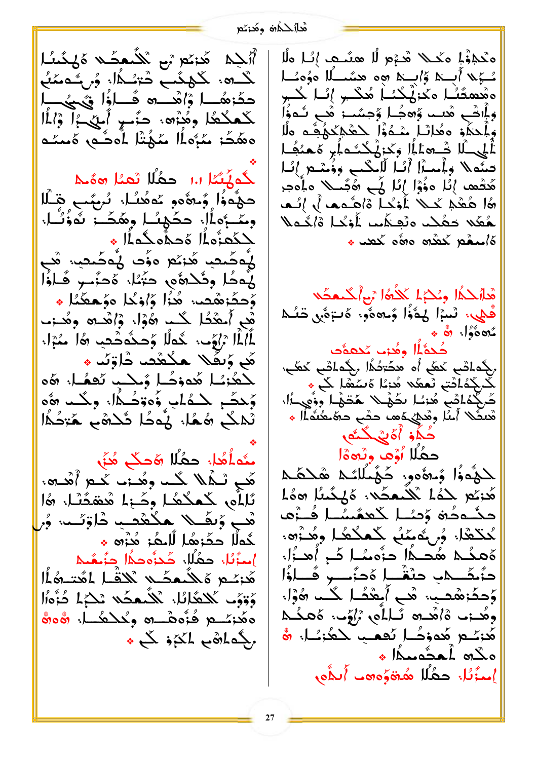ٱلۡكِمۡ ۖ هَٰٓئِكُمۡ ۚ مۡى ٱلۡكُـٰفُ ۚ وَٱلۡكُنۡلَا ۖ كْــُهِ، كَـٰهِـدُبِّ شَبْـدُاْ، وُرِحْمِمْكُ حدَّثَها وَٱهْــُـهِ فَــاؤُا فَيُحِيُّــاٍ لكمكعُل وهُنْزُهِ. حِنَسٍ أَمِنْ أَ وَٱلمَلْ مَمَّدُ: مَثَوَّمًا مَّهُتُا أُوصُّهِ وَمَمَّد لَّكُمْ يُتَمَّا 1.1 حَجَّلًا ثَعْبًا 3.6% حهُهُوُّا وُ هُوهُ و عُههُدُا وُ يُرِمُبِ هِمْلَا ومُّجُّه أَلَٰ حَكَّهْنُـا وِهُكُــٰٓ شُوَّنُـٰا ۖ للكْعزُه أَا هُحِدُّه لَكُماً ﴾ لِمُعْمَدِينَ هُوَ هُوَ مَوْحَدِينَ مِنْ شَيْءَ مَنْ مَنْ لْهَجًا وِثَكْ‰َى حَتَّمَاْ: هُحَنَّى قَاؤُا وَحِجَّزْهُمْمِ، هُزُا وَّاٰوَكُلْ وَوَّحْظُكُلْ \* فِي أَحِقْتُهُ كُبِ هُوْلَ وْاهْدِهِ وِهُنِي ﴾])] ثَرُاوَبٍ. خُولًا وَحِدُّوضُوبِ هَٰا مِبْرَا. هُمْ وُبِّعُلاً هِكْتُنْفِ ثَارَتْ \* لِكَعُنْهُا هُدَوْحُا وُبِكِبٍ نُعْمًا. 6ه وَحكَمٍ حَــهُ لِمِ وَوَوَكَــهُا. وكُـــه ۞ه لْمَكُمْ هُمُلْ: يُودُلْ ثَكْلُهُمْ هُرْدُهُا مثَملُغُل: حمُلًا وَحَكَّى هُنَّى كَعَبِي لَمُمَلًّا لَمْسَ وِكُمْنِو لَمَعْكُمْ أَنْفُسُوهِ. تَالَمْ لَكُمْكُمَا وِضَٰٓءَا مُعْمَضَا۔ 16 ھُے وُبِّھَــٰلا ـِمَكَـٰقُصِـبِ شَاوِّئَــٰـٰـٰ: وُر لَّدَلًا حَضَرْهُا لَّامِعُزِ هُنْزُو \* إسرَّبُل حمُلًا. كَدرُّهِ حمًّا حِزَّمهُمْ هُزئهِ هَ الْمُعصَبِ ٱلْمَقَا الْمُتَدَّهُ أَل وَوَوَّ لَكْعَانًا. كَذُهكُمْ مْدْءًا دُوَّوَا ەھزئىم ھۇەھْسە وېمكىھىل ۋەۋ بِكُماهُم لِمَكْرُو كُمْ \*

هِ نُحِبْرُ لِمَ مَكَنَّهُ مَنْ مَنْ مَسْجِدٍ إِنَّا وَلَا سُبَرِيا أَبِيْطٍ وَأَبِيْطٍ وَهُ مِيْمَسِلًا وَوُوسًا ه تُعْمِدُ لَمْ كَانُوْ كُنْتُ الْمُحْسِرِ إِنَّا لَكْثِرٍ وَإِلَيْهِ هُنسَا وُهجُنَا وُحِسَّىٰ هُبِ نُـهوُ وِلَمحٰكُو وهُرَكَ عَدُوْا كَعْكِكِهُڤُو وَلَا لَّكِيكُمْ مَثْلُكُمْ وَكُنَّوْ بِكُمْ مَعْهُدًا لِلَّهُ مَعْهُدًا تعنُّفوا وأُسِدًا أَنُبَأَ لَأَمَكُبِ وَذُهُبُو إِنَّهَا هَٰتُـه }نُا هِ وَوْا }نُا کُے هُجَّـــلا ه۔اْهجر هَٰا هَٰعۡکِ کَــلا نُمۡوَنُــا ۃَاهُــَـم ﴾ }نُــم هُعَلا حَمُلُم هُقِيَمِ أَوْجُلِ هُ/جُـهِلا ة/معقَّص كَضَره هوهُه كَصْد \* مْلْأَحْمَٰا وْحْجَا ݣْحَوْا رْمِأْكْتْمْحْسْ قْطِي، نَسْبًا لَحَقُوًّا وُءِهِ وَمِنْ وَسَوْمَهِ وَسَرْعَيْنِ وَسَلَّمَ كُدةً لَٰل وهُزب كَدهةٌ ب بِكُواضَى كَعَى أَو مِكَتِكُمُّا بِكُواضَى كَعَبٍّ.<br>كَبِكَوْاضْتِي ثَمِعَكِ مُنزِيْلِ وَيَتَبَهْلِ كَي مِ بِّهُ لِمُنْهَ هُدَنُـل نَكُهُــلا هَتَـهُـل وفُعِيــزًا. هُنتَكَلا أُمِلًا وهُمْ كَمْهِمَا حضْحٍ حَمَّا مُعْنَفَةً لَهُ مَا كَمَلُوْ أَهْ يُكْسُمَ َ حَقُلًا أَوْهَى وِنْحَاةَ ا لحهْهُوُا وُ هُوُوو، كَهُمُلائكا هُكفَكا هُزِيَّعِ لَحْهُ لَا ٱلْمُعَصَّلا، مَّلْمَمُّلْ هُمَا حثَّـهخُـهَ وُحبُــا كُـعمَّــمُــا فُــزْم مُذْهَلُو وُم يُدْمَعُ لَمُحْكُم الْمُؤْمِنَ هُهَنُمْ هُجَــدًا ۚ حَزُّهِمَـا ضَرِ أَهْـزًا. وَحدَّ;هُصبٍ، هُبِ أَبِعْثُـا كُـُـد هُوْا. وفُسنت ةْاقْسە تْسَالْمْ، رْاَوَّتْ: ەْھْنُكْ هُزئتُم هُدوْهُــا نُعمب خَعْزَيْـا. ﴿ a lément de إِسْزَنَا. حَقِّلًا هُـ وَوَّوْهِ لَهَ أَنْظُمْ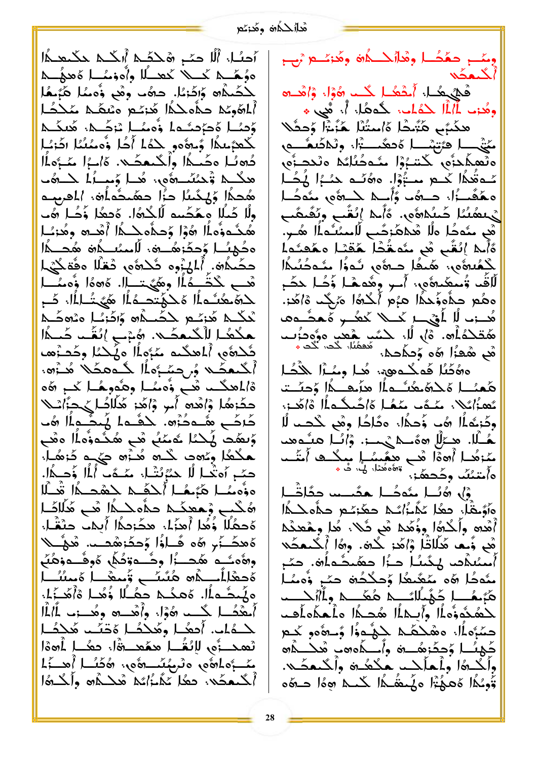أحبًا، أَلَّا حَبْ شَكْكُمْ أَلْكُمْ حَكْمِعْدُا ووُهُـــدْ لَا لَـــدْ لَا لِمُوْمَــدْ وَصَدِّــدْ مَسْ لْكَثّْمُاه وَاكْبْنُا. حَدُّب وقْع وْهْمَا هَٰبُّتُمَا أَلمَعُومَه حدُّه حَدَّم اللَّهُ مَنصَه مَحْدَدًا وَّدَسًا هُدَدَسُما وُوسُل تَزَهَّـــه. هُنكَــه لْكَعْبَسْلَا وُمِيَّەو كِحَا أَحَا وُْمِسُنُا اكْبَهِا دُهلًا هضُمًا وَلَكْتَعَفُ». هَا إِمْ مَجْهَدًا ھكُمْ تْمْنُسْتْقَى، هُا وَمِسْلَا كَلْمُ هُحِدًا وَٰلِمَّنَا حَزَّا حِمَّىحُوَلُهَ: المُعِبِد ولًا ضَلًا معُصِّيه لَأَحْدُهُا. هُصِمًا وَجُبًا هُب هُكُدوْهِ أَلا هُوْلِ وُحِدُّه كَــٰهُلا أَهْــِـهِ ۖ وهُـٰزِئُــا ەكھئــا ۆھكۆھُـــەد للىمئىـــكەھ ھُھـــكال حَصَّدُهُ. أَلمهُ وَهِ مَكْمَى صَعَلًا مِفْقَكَهَا هْبِ كَتُبِـهَٰلًا وِهَيْتِـٰلِل هَαهَا وَْهِمْـَـلِ لِحَمَّمُعُنَـٰهِ أَا هَـٰكُمِّتَحَــٰهُ أَا هَيِّتُـا أَا. كَــِ تْكُلْطْ هُزْسُمْ لِكَصْلُمْ وَاثْزَسُا هِتْمَكُلْمْ حكْمًا لِلْكَتْحَكْمْ. وَمِبْتِي إِنْقَتْ ضَّىدًا ثَلاهُم ٱلمكُنه مُرْمِلًا وَلَكْنَا وِحُصْرُها أَكْتُمَكَّدْ وُرِدِيَّتٍ وَالْمُلْكَدِهِدَا الْمُلْكَدَةِ مَنْ وَالْمَدَّرُونَ ة/اهكَــد قَبَّ وْهِمُــا وهُهُوهُــا كَــزٍ 6هُ حفَزهُا وْاهْدَه أَس وْاهُدْ هَٰلَائُمَا حَدَّاتَــلا كَرَكَبِ هُــوَدُرُهِ. كَحْــو لَمَ ضَّـو لَمْ هُـ وَٰىمَٰتَ يُکْنَا شَمَّبُ مَْبِ هُکَّەؤُهَاْلَ هَٰتِي مَكْعُل وِمُهِدٍ كُلُّهِ هُـَّةٌ حَيْدٍ دَٰهُـاً. حبٍّ أَوَتَكُمْ لَا حَبَّ نُشْأٍ. مَمْـوَّفٌ أَءُلًا وَجِــدًا. وؤُوسُا هَبُسُا أَحْفُــم حَشْحــدًا شَــلًا هُكْبٍ وْحْمَدْكُ حَذَّهِكْمَالِ هْبِ هَٰلَاكًا هَحمُلاً وُهُا أَهزَا، هخَرَها أَبِها حنْقُا. ەُ «دَـُــزُ ، وَهُ هُــاوُّا وَحدُرْ هُـصه. هُـوْـَـــلا وهُوسُـو هُدــزُا وحُــووَفُكَ وَوصَّـوهُكَ<br>وَحِمْالُمـِــدُه هُنَّىنَـــ وَمِمِثَـــا وَمِينُـــا وهُبْدُواْ. وْمِكْكْ دْهُلْا وُهْدا وْأَهْدَٰدْ. أَحْدُكُما لَكُـــد 36ْإِ. وأَقْسَـــ30 وقُســزد الْمَالَم للسفاء. أُحعُما وهَلاَهُما هَتَنَـٰ هَٰذِهُـا نَعْمَدْ أَيْ الْمُقْدَارِ مَعْمَدَةُ الْمَعْدَارِ أَمْرَةَ ا مَفْسِؤُهَا، وَمُؤْسَسِينَ مِنْ الْمَسْدَأَ الْمَسْدَدُ أَكْتُمَكَّلاً، فَعُلَّ غَمُّنُوا مُمَّا هُكَـٰدُهُ وَأَكْتُوا

ج حمَّصًا وقَدَلَكُمُ وَهُنَّـــمْ رَبِّ فَيْ هَا. أَحْمَـٰا كَــٰ هُوْا وْاهْـه وهُنِ أَأَلْمَا لَكُمَاتٍ كُوهَانٍ أَنْ قُبِي مُ هكُبُبِ هَٰتُمشًا هَا مِتُنْا هُنُتْا وَحثَلا مَّتْيَ لِمُسْتَمَسِّلْ هُدْهُ أَنْ وَلَمْكُنْفُسِيْ وَثَعِيكُمْ وَثَقَ كُتَبَ وَالْمُسْوَحُلَيْهِ وَتَحْدَثَهِ عُـدقَٰدًا كَــم مـــُّرُوْا. دَفَّتُـد حَبَّہُ لَهُحَـٰا ەھَقَىسَزًا، جىھُت رُأَسِيا جَـــوَّى مِنْدَجَــا حْسَفْنُا حَسَٰلَاهُم.. هُ أَسْا إِنْقُبِ وِنَفْسَتَ هْج حَدْهُا ما الْمَحْمَدْهُبِ ٱلْمِمْنَــْمَاْلِ هُــبْ. دَٰٓٱ ۚ اللَّهَ ۖ مَن مُوسَّدُاً ۖ مَقْدَا وَ مَقْدَمُا كَهُنغُونَ، هَنْجُل دِيعُونَ شَوزًا مِنْدَدُبُدًا لَّاقُب تُسْعَدِهُمِ ﴾ أُسو وَهُوهُمْ أَوْصًا حَصَّر وهُم حدُّوذُها هزُم أَحْدُا وَرَجَّد وْاهُمْ: هُـــ;بِ لَا أَيْنِ\_\_\_رِ كَـــلا كَعُــــوٍ هُـعَـــُـــهِ م هُقَّكُمُلُو. ۚ هُ) لَٰلَ كَسَّ هُعِبٍ وَوُودُتِ <br>هُم هُعزُل وَو وَحِكَامِهِ. <sup>مَعفَّلًا، كُم</sup>َ نُحْمَ هِهُكُمُا فَمِكْمِعِهِ فَيَا وِمُآْ لِكُكُمْ هَعْسًا هَٰذَهَ هُنُسُواْلِ هِزَمِعَـٰهُل وَحِنَّـت مٌعمُّ أَمُلاً : مَمْـدٌ مَمْعُـلُ هَاصُـدُـدِلُّـا هَاهُــز: وِكْبْشَهْأَا هُبْ وَْحِكًّا، وَقَاحُا وِهْدِ جُحْمِيهِ لَّا حَسَلًا. مِتْعَلِّلُ 20مَدِّمْ حَمِيتٍ. وَٱتَّا هَشَّەمَد مَّزْهُــا أَ80 هُـــى هِمَّمْسُــا مِكْــد أَمَّنَــد<br>10 مَّنْسُدُ وحُدهُمْ: وَهُمَّتْكَ بِّ وَ وَ وْلِي هُنُــا مِثْدَكْــا حَكَـــب حَكَاتُــا وَأَوْحَقْلُه دهُل مُمْتَوَّلُسُمْ حَجَزَتُكُمْ حَدُّوَحَكُمُّا أَمْدِهِ وأَكْمُا وؤُهُدُ مْدِ ثَلا، هُا وهُعدْدُ هُم وَّحْد هَٰكَاتُ أَوْاهُمْ كُنْ . وَهَٰا إِكْتَحَمَد أَسْتُلَافَ لِمُنْتُلَ دَءُلَ دَهُمَدُهِ أَهْ، حَتَّمٍ مدَّدَٰا وَّہ مَّعَمَعُا وَحكْدُوْ حَبْ وُّہمَاْ۔<br>هُبُمُـــا جَهۡبِلَائَـــِـه هُعَــــه وِلَّالَاـــــــ لِحَمُدُوزُه أَل وأَبِيدَأَل مُحِيدًا وأَحِدَوا فَعَدَ حمَّدُه أَا، وهُكَكُمْ كَهُودُا وُحِدَّةٍ كَحِمّ كَهِنُــا وُحِكْنِهُـــة وأَــــكُوهب هُـــــكُفه وأكبه وأحألب حكعُة وأكتفكه وَّمِنُهُا وَعِيْثَهُا وَيُعَشَيْهَا لَكَنِيهِ وَوَا حَدَّةِهِ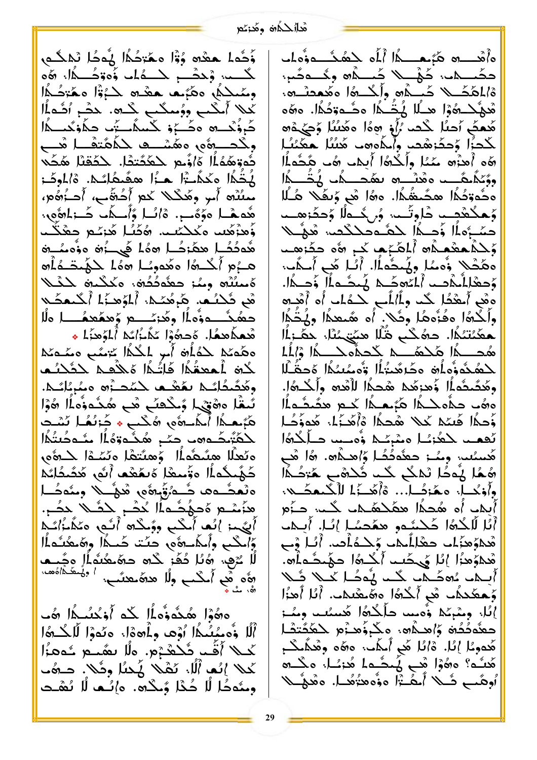هْلِٱلجِلَاٰةِ وَهُٰٓئِكُمْ

وَحَدْهَا حَعْدُه وُوْٓا مَحَّرْحُمَّا هُوَجًا نَمْكُم ىڭــــە، ۋىدڭــــو كــــەُلمە ۋەقەئـــــھُل، قەھ وسُبِكِمُ وَهَٰٓبِم مِعْدُهِ كَجَرْتُوا وَهُرْضُكُمُوا كُلا أَكْب وَوُسكُب كُــْ۞. ۚ حَضْرِ ٱضُولًا كَرِؤُكْدِهِ ۚ وَكُنَّ ۚ وَ كَلَّمَكُنَّتُ حَكَّاوَكُنسَكُلَّا وكْحَــِبِةُٯٖ هَمْسْــفْ لْـكُلْمَّتْفْــا مْـــحِ هُوقِهُمُهُ أَلا أَهْ وَمِعَ حَجَمَتُ الْمَحْمَدِ الْمَحْمَدِ الْمَحَمَّدِ لِمُتُمُّا مَحْمَٰتُۥ حِزًا هِقُىعُائَـهِ. هُ/لُوكُـز معلَّنُه أَس ومَكَّلا كَم أَحُرَّفَبٍ، أَحَزُّهُمْ، ھُەھْـا ەۆەْــې. ۋائـا ۋاْـــكْ كَــزاھُەر. وَّهْزَهُكَ مَكْكَتِكَ. هُكَتُلْ هُزَكُمْ حَقْنَكُت هُدَدُهُــا همَّـْهُــا هَـهُـا هَٰی ــُرُهَ هوُّهَــُدَهَ هـِبُم أَكْــهُا هفَّدوسُـا هَهُـا ـكَهْـتّْــهُ أَه كْمْمِلْلُهِ وْمُمْ دْهَدْدُهْ، مْكْكْمْهْ لْمْشَلَّا هْمْ شَكْسُفْ. هَٰزِهُمْكُمْ: ٱلْمَوْهَدَٰذُلِمْ ٱلْكَتْعَضَىٰلا حمُدُّـــوفُماُ! ومَّـٰٓتَــــم وِّمحمَّمحمُـــــا ولَٰا هُموَهُ هُمُ ، وَحِدَّوْا مُمَّنُ مُنْ الْمُوَهَٰ لِمَاء مدّمده صِمْبَة الْمَكْمَا بَهْ مَا مَحْمَد لكره أحمعقُمُ وَاتُكُمْ وَلاَقِكُمْ لِكَثَابُ وهَدَّمُدُاسًا بِمُعْسِفٍ لِمَنْصِرْةٍ وَمُبِيَاسًا. تُنقُل وهُقِيْ وُحْكِصٌ مْبِ هُحْدُوْوَاْ اهُوْا هُبُعِماً أَيَمَٰــةُ ، هُكُبُ ، جُزْنُعُـا نَسْـدُ لِكَتَبَكُدومٍ حَيْمٍ هُكُدَوْهُ أَلَّا مِنُدَدُتُكُمُ ومُعلَّا هِنَعْمَاْلِ وَهِنَتِهَا وَنَسَوْا لِحَدِهُمِ كَهُبِكُماْ وَقُسِعْا وَيَقْعُفُ أَنَّى هَٰجُمَاتُمْ ەنْمْشُــەم شُــەُرْقُبەەُ ب مْدِيَّــــلا ومئەشَـــا هِزَمْـم هَدِهُجُـماًا كَجْـم لِكَــلاً لِمِكْم. أَيُّ مِنْ إِنَّهُمْ أَمَّكُمْ وَوُمْكُلَّا أَلَّـهِ ۚ دَكَلَمَٰٓ أَيُّكُمْ ا وَٱمۡكُم وۡٱلۡمَٰلَـٰ۞ۚٯ كُنَّـٰتَ كُمَـٰهُۥ وَ۞ مَعُلُـُه لَٰهُۥ لَّا مُرْقِ. هَ مَا حُکْزَ حُده حدَّمَعُنَّهُ اَلِ وَجَمعَه<br>هُوَ مِّي أَمكُب ولَّا هدهَ عنسَبٍ. المَعْدَاءُها.<br>هُ. مَّهُ عَلَيْهِ الْمَحْسَبِ. المَعْدَمَةِ. ەھُوْٓا مُحُدُّوۡہٗاۤا ۚ كُدۡ اُوۡكُنُـٰدًا ۖ مُ

أَلَّا وَّدْمِئْيُدًا زُوْهِ وِلْمَوْهَا. دَيْدَوْا لَاجْتَدْهَا كَحِلًا أَقُب شَكْفَةٍم. ولَا يعمُحِم شَوْمَزُا كَمِلا إِنَّمِ ٱلْلَّهِ نَصْلاً لَمِحْنًا وِهَٰلاً. دخمَت ومِنْدَدًا لَّا حُذًا وُحِكْرَه. وإنَّـم لَّا نُهْـد

هأهْــــه هَبُمــــدًا أَلَم لههُمْـــوؤُهاب حَكَمِـــكُـــد، كُـهْـــدُ كَـمـــدُه وحُـــدُكَـب.<br>13عَكَـــد كَــدُه وأكـــهُ! مقدمتـــه.<br>قَوْكـــهُوْ! هــلًا هُـتُــدُّا مثَــدقِكُمُ!. مهَم هَهُمٌّ أَحِلًا لَحْصٍ ۚ أَنُّ وَوَا وَهَٰنُنَا وَجَهَدُه لَكْتُوا وُحِثَوْهُمِ وأَيْلُوهِ بِ هُنُنَا حِيَّنُنَا هَ و أَهِنْهُو مِمْنُا وأَخْرَهُا أَبِيهِ هُبِ هُجُواْ ووَّعْدُمصَّـــد هڤشــــه صَفْحـــــدُك لِمُتُــــدُّا وَحُودُهُا هِحُمْقُهُا. وَهَا هُي وَيَفَيْ هُـلًا وَحِكْتُهِــد خَاوتَــد وُرِ جُــولًا وَحَدَّ:هــد حسَّرُه أَا وَحدُا حَدَّده حَككمَن مُحَصَّلا وَحَدْهُ مَعْمَدُه أَلْمَحْكِمِ كَبِرٍ هُوَ حَضَرْهمَ هَ مَكْلاً وْهَمْا وِهُمْشُهْاًا. أَنْـا هَي أَمـدُب: وُحِعْلِلْمُأْمِبِ ٱلْمُعَظِّمِ بِمُحَسَّمِلًا وَجِحَلًا. وَهْدٍ أَحْدُدًا كُم وأَالمُبِ كَلَّمَاءٍ أَو أَهْدِهِ وأَكْلَّهُ وَفُؤُوهُا وَثَلاٍ. أَو هُمعِدًا وِهُتُّدًا الْمِتَكَمَّا. حَدُكُم هَّلَا هَيِّتَكَمُّا. حَكَّرْأَا هُدِيمًا هَٰذِهَيْدِ جُدِهٌ مِنْدَمًا وَٱلْمَا لِحْشُدُه زُهِ أَهْ مَحْرَشُدُ أَلْ وَّهِ مُنْدُلًا هَجَعَّلًا ومَّحَمَدُه أَا وَجزمَّده هُحِدًا لِأَمْدِهِ وِأَحْدُوا. وهُب حدُّوحِكُمُ هَيُعِجُمُ كَجِم هِجُمَدُومُا وَّحِمًّا هَيَـُمْ كَـٰهُ ۖ هُجِمًّا ةَأَهَـٰٓءًا، هَٰوَوَٰجًـا تُعمَس للعُزْسُلُ مِنْبِسًا وَمُسَسَّدٍ صَلَٰكُوهَا هُسِئِينٍ وَسُعَ دَهُدُدًا وَ}هـدُهِ. هَٰا هُبِ هُمُا هُءكُا نَمْكُمْ كُبْ فُحْشَى هُرْشُكَا وأُوْجُداً، مِعْرَضَاً... هُأَهُدًا لِأَكْتَمِضَىٰ، أُبِيهِ أَو هُجِمًا مِكَحِمَحِهِ كُبِ، جِزْمِ أَنَّا لَلْكُمُّا حُكْسُوهِ هِمُحِسًا إِنَّا. أَبِيهَـ هُدْوُهزَٰٓءُٮ حَعْلِلُّدْتِ وَجَدْءُلُّفٍ. أَيُّلَّا وَبِ هْد*اؤْه*ٰا إِنَّا هُكِكُب أَكْسُوا حَهَجْمَالُهِ.<br>أَبِـدَ يُوجَـدَ كَـب هُوجًا كَـبِ فَـكِ اللَّهِ وَهْعَدِهُمْ فَي أَحْدَهُ الْمَعْمَدِمْ. أَبَا أَهْزَا إِنَّا، وَسُبِّئُهُ وَّٰہَـٰتَ دَلَّكُلُّہُۚا هُنتُنَـٰت وَسُـٰٓءَ حَعْدَدُهُ وَاهِـدُهِ، مِكْرِؤُهِـزُمِ كَمَكَتَفَـا كُندومُا إِنَّا. ۚ ةَامُا كُنب أَيكُت: هَءَه وَقُدَّمَكُتْمِ هَٰنُـه؟ ه&وْا هْبَ لَمُـدُّـه! هُـْئـاً، هكْــه اُوهًىبِ ثَــلًا أَيضُــٰٓةًا هؤُهِ مِتَّوَمُــا. هفَعفُــلا